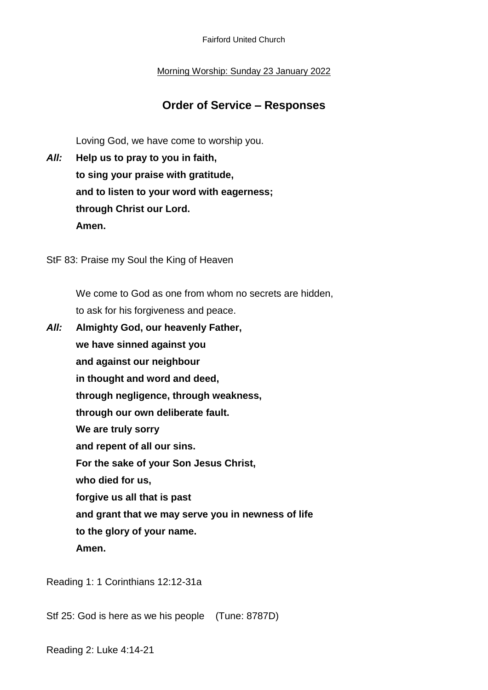Fairford United Church

Morning Worship: Sunday 23 January 2022

## **Order of Service – Responses**

Loving God, we have come to worship you.

*All:* **Help us to pray to you in faith, to sing your praise with gratitude, and to listen to your word with eagerness; through Christ our Lord. Amen.**

StF 83: Praise my Soul the King of Heaven

We come to God as one from whom no secrets are hidden, to ask for his forgiveness and peace.

*All:* **Almighty God, our heavenly Father, we have sinned against you and against our neighbour in thought and word and deed, through negligence, through weakness, through our own deliberate fault. We are truly sorry and repent of all our sins. For the sake of your Son Jesus Christ, who died for us, forgive us all that is past and grant that we may serve you in newness of life to the glory of your name. Amen.**

Reading 1: 1 Corinthians 12:12-31a

Stf 25: God is here as we his people (Tune: 8787D)

Reading 2: Luke 4:14-21